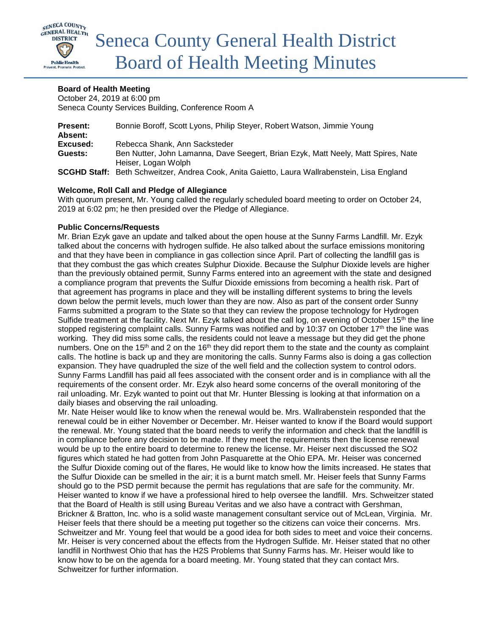

### **Board of Health Meeting**

October 24, 2019 at 6:00 pm Seneca County Services Building, Conference Room A

| <b>Present:</b><br>Absent: | Bonnie Boroff, Scott Lyons, Philip Steyer, Robert Watson, Jimmie Young                                   |
|----------------------------|----------------------------------------------------------------------------------------------------------|
| Excused:                   | Rebecca Shank, Ann Sacksteder                                                                            |
| Guests:                    | Ben Nutter, John Lamanna, Dave Seegert, Brian Ezyk, Matt Neely, Matt Spires, Nate<br>Heiser, Logan Wolph |
|                            | SCGHD Staff: Beth Schweitzer, Andrea Cook, Anita Gaietto, Laura Wallrabenstein, Lisa England             |

### **Welcome, Roll Call and Pledge of Allegiance**

With quorum present, Mr. Young called the regularly scheduled board meeting to order on October 24, 2019 at 6:02 pm; he then presided over the Pledge of Allegiance.

#### **Public Concerns/Requests**

Mr. Brian Ezyk gave an update and talked about the open house at the Sunny Farms Landfill. Mr. Ezyk talked about the concerns with hydrogen sulfide. He also talked about the surface emissions monitoring and that they have been in compliance in gas collection since April. Part of collecting the landfill gas is that they combust the gas which creates Sulphur Dioxide. Because the Sulphur Dioxide levels are higher than the previously obtained permit, Sunny Farms entered into an agreement with the state and designed a compliance program that prevents the Sulfur Dioxide emissions from becoming a health risk. Part of that agreement has programs in place and they will be installing different systems to bring the levels down below the permit levels, much lower than they are now. Also as part of the consent order Sunny Farms submitted a program to the State so that they can review the propose technology for Hydrogen Sulfide treatment at the facility. Next Mr. Ezyk talked about the call log, on evening of October 15<sup>th</sup> the line stopped registering complaint calls. Sunny Farms was notified and by 10:37 on October 17<sup>th</sup> the line was working. They did miss some calls, the residents could not leave a message but they did get the phone numbers. One on the 15<sup>th</sup> and 2 on the 16<sup>th</sup> they did report them to the state and the county as complaint calls. The hotline is back up and they are monitoring the calls. Sunny Farms also is doing a gas collection expansion. They have quadrupled the size of the well field and the collection system to control odors. Sunny Farms Landfill has paid all fees associated with the consent order and is in compliance with all the requirements of the consent order. Mr. Ezyk also heard some concerns of the overall monitoring of the rail unloading. Mr. Ezyk wanted to point out that Mr. Hunter Blessing is looking at that information on a daily biases and observing the rail unloading.

Mr. Nate Heiser would like to know when the renewal would be. Mrs. Wallrabenstein responded that the renewal could be in either November or December. Mr. Heiser wanted to know if the Board would support the renewal. Mr. Young stated that the board needs to verify the information and check that the landfill is in compliance before any decision to be made. If they meet the requirements then the license renewal would be up to the entire board to determine to renew the license. Mr. Heiser next discussed the SO2 figures which stated he had gotten from John Pasquarette at the Ohio EPA. Mr. Heiser was concerned the Sulfur Dioxide coming out of the flares, He would like to know how the limits increased. He states that the Sulfur Dioxide can be smelled in the air; it is a burnt match smell. Mr. Heiser feels that Sunny Farms should go to the PSD permit because the permit has regulations that are safe for the community. Mr. Heiser wanted to know if we have a professional hired to help oversee the landfill. Mrs. Schweitzer stated that the Board of Health is still using Bureau Veritas and we also have a contract with Gershman, Brickner & Bratton, Inc. who is a solid waste management consultant service out of McLean, Virginia. Mr. Heiser feels that there should be a meeting put together so the citizens can voice their concerns. Mrs. Schweitzer and Mr. Young feel that would be a good idea for both sides to meet and voice their concerns. Mr. Heiser is very concerned about the effects from the Hydrogen Sulfide. Mr. Heiser stated that no other landfill in Northwest Ohio that has the H2S Problems that Sunny Farms has. Mr. Heiser would like to know how to be on the agenda for a board meeting. Mr. Young stated that they can contact Mrs. Schweitzer for further information.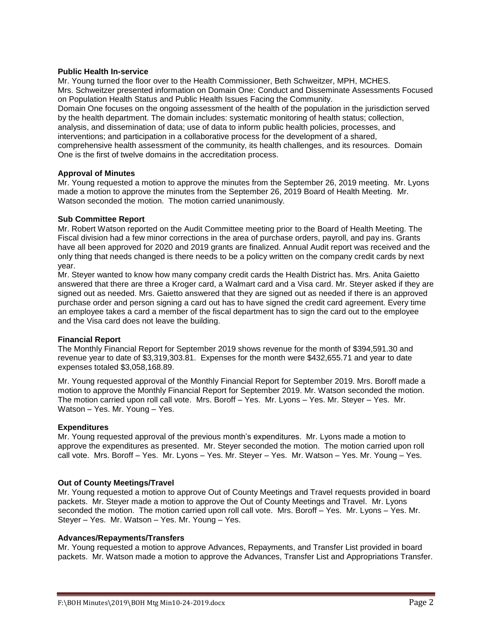#### **Public Health In-service**

Mr. Young turned the floor over to the Health Commissioner, Beth Schweitzer, MPH, MCHES. Mrs. Schweitzer presented information on Domain One: Conduct and Disseminate Assessments Focused on Population Health Status and Public Health Issues Facing the Community.

Domain One focuses on the ongoing assessment of the health of the population in the jurisdiction served by the health department. The domain includes: systematic monitoring of health status; collection, analysis, and dissemination of data; use of data to inform public health policies, processes, and interventions; and participation in a collaborative process for the development of a shared, comprehensive health assessment of the community, its health challenges, and its resources. Domain One is the first of twelve domains in the accreditation process.

#### **Approval of Minutes**

Mr. Young requested a motion to approve the minutes from the September 26, 2019 meeting. Mr. Lyons made a motion to approve the minutes from the September 26, 2019 Board of Health Meeting. Mr. Watson seconded the motion. The motion carried unanimously.

#### **Sub Committee Report**

Mr. Robert Watson reported on the Audit Committee meeting prior to the Board of Health Meeting. The Fiscal division had a few minor corrections in the area of purchase orders, payroll, and pay ins. Grants have all been approved for 2020 and 2019 grants are finalized. Annual Audit report was received and the only thing that needs changed is there needs to be a policy written on the company credit cards by next year.

Mr. Steyer wanted to know how many company credit cards the Health District has. Mrs. Anita Gaietto answered that there are three a Kroger card, a Walmart card and a Visa card. Mr. Steyer asked if they are signed out as needed. Mrs. Gaietto answered that they are signed out as needed if there is an approved purchase order and person signing a card out has to have signed the credit card agreement. Every time an employee takes a card a member of the fiscal department has to sign the card out to the employee and the Visa card does not leave the building.

#### **Financial Report**

The Monthly Financial Report for September 2019 shows revenue for the month of \$394,591.30 and revenue year to date of \$3,319,303.81. Expenses for the month were \$432,655.71 and year to date expenses totaled \$3,058,168.89.

Mr. Young requested approval of the Monthly Financial Report for September 2019. Mrs. Boroff made a motion to approve the Monthly Financial Report for September 2019. Mr. Watson seconded the motion. The motion carried upon roll call vote. Mrs. Boroff – Yes. Mr. Lyons – Yes. Mr. Steyer – Yes. Mr. Watson – Yes. Mr. Young – Yes.

#### **Expenditures**

Mr. Young requested approval of the previous month's expenditures. Mr. Lyons made a motion to approve the expenditures as presented. Mr. Steyer seconded the motion. The motion carried upon roll call vote. Mrs. Boroff – Yes. Mr. Lyons – Yes. Mr. Steyer – Yes. Mr. Watson – Yes. Mr. Young – Yes.

#### **Out of County Meetings/Travel**

Mr. Young requested a motion to approve Out of County Meetings and Travel requests provided in board packets. Mr. Steyer made a motion to approve the Out of County Meetings and Travel. Mr. Lyons seconded the motion. The motion carried upon roll call vote. Mrs. Boroff – Yes. Mr. Lyons – Yes. Mr. Steyer – Yes. Mr. Watson – Yes. Mr. Young – Yes.

#### **Advances/Repayments/Transfers**

Mr. Young requested a motion to approve Advances, Repayments, and Transfer List provided in board packets. Mr. Watson made a motion to approve the Advances, Transfer List and Appropriations Transfer.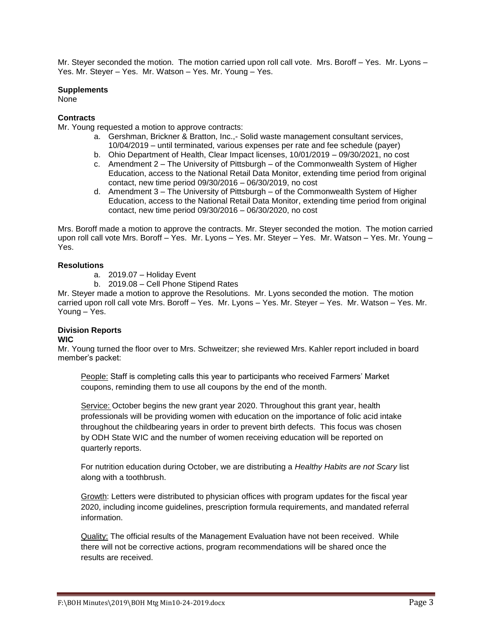Mr. Steyer seconded the motion. The motion carried upon roll call vote. Mrs. Boroff – Yes. Mr. Lyons – Yes. Mr. Steyer – Yes. Mr. Watson – Yes. Mr. Young – Yes.

### **Supplements**

None

## **Contracts**

Mr. Young requested a motion to approve contracts:

- a. Gershman, Brickner & Bratton, Inc.,- Solid waste management consultant services, 10/04/2019 – until terminated, various expenses per rate and fee schedule (payer)
- b. Ohio Department of Health, Clear Impact licenses, 10/01/2019 09/30/2021, no cost
- c. Amendment 2 The University of Pittsburgh of the Commonwealth System of Higher Education, access to the National Retail Data Monitor, extending time period from original contact, new time period 09/30/2016 – 06/30/2019, no cost
- d. Amendment 3 The University of Pittsburgh of the Commonwealth System of Higher Education, access to the National Retail Data Monitor, extending time period from original contact, new time period 09/30/2016 – 06/30/2020, no cost

Mrs. Boroff made a motion to approve the contracts. Mr. Steyer seconded the motion. The motion carried upon roll call vote Mrs. Boroff – Yes. Mr. Lyons – Yes. Mr. Steyer – Yes. Mr. Watson – Yes. Mr. Young – Yes.

### **Resolutions**

- a. 2019.07 Holiday Event
- b. 2019.08 Cell Phone Stipend Rates

Mr. Steyer made a motion to approve the Resolutions. Mr. Lyons seconded the motion. The motion carried upon roll call vote Mrs. Boroff – Yes. Mr. Lyons – Yes. Mr. Steyer – Yes. Mr. Watson – Yes. Mr. Young – Yes.

#### **Division Reports WIC**

Mr. Young turned the floor over to Mrs. Schweitzer; she reviewed Mrs. Kahler report included in board member's packet:

People: Staff is completing calls this year to participants who received Farmers' Market coupons, reminding them to use all coupons by the end of the month.

Service: October begins the new grant year 2020. Throughout this grant year, health professionals will be providing women with education on the importance of folic acid intake throughout the childbearing years in order to prevent birth defects. This focus was chosen by ODH State WIC and the number of women receiving education will be reported on quarterly reports.

For nutrition education during October, we are distributing a *Healthy Habits are not Scary* list along with a toothbrush.

Growth: Letters were distributed to physician offices with program updates for the fiscal year 2020, including income guidelines, prescription formula requirements, and mandated referral information.

Quality: The official results of the Management Evaluation have not been received. While there will not be corrective actions, program recommendations will be shared once the results are received.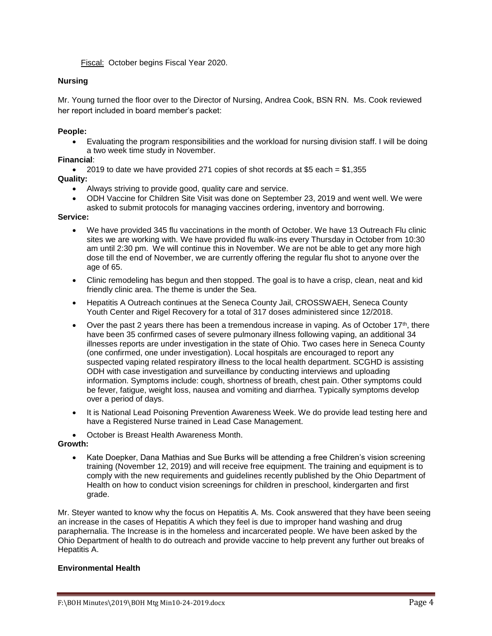Fiscal: October begins Fiscal Year 2020.

# **Nursing**

Mr. Young turned the floor over to the Director of Nursing, Andrea Cook, BSN RN. Ms. Cook reviewed her report included in board member's packet:

## **People:**

 Evaluating the program responsibilities and the workload for nursing division staff. I will be doing a two week time study in November.

# **Financial**:

 $\bullet$  2019 to date we have provided 271 copies of shot records at \$5 each = \$1,355 **Quality:** 

- Always striving to provide good, quality care and service.
- ODH Vaccine for Children Site Visit was done on September 23, 2019 and went well. We were asked to submit protocols for managing vaccines ordering, inventory and borrowing.

### **Service:**

- We have provided 345 flu vaccinations in the month of October. We have 13 Outreach Flu clinic sites we are working with. We have provided flu walk-ins every Thursday in October from 10:30 am until 2:30 pm. We will continue this in November. We are not be able to get any more high dose till the end of November, we are currently offering the regular flu shot to anyone over the age of 65.
- Clinic remodeling has begun and then stopped. The goal is to have a crisp, clean, neat and kid friendly clinic area. The theme is under the Sea.
- Hepatitis A Outreach continues at the Seneca County Jail, CROSSWAEH, Seneca County Youth Center and Rigel Recovery for a total of 317 doses administered since 12/2018.
- Over the past 2 years there has been a tremendous increase in vaping. As of October 17<sup>th</sup>, there have been 35 confirmed cases of severe pulmonary illness following vaping, an additional 34 illnesses reports are under investigation in the state of Ohio. Two cases here in Seneca County (one confirmed, one under investigation). Local hospitals are encouraged to report any suspected vaping related respiratory illness to the local health department. SCGHD is assisting ODH with case investigation and surveillance by conducting interviews and uploading information. Symptoms include: cough, shortness of breath, chest pain. Other symptoms could be fever, fatigue, weight loss, nausea and vomiting and diarrhea. Typically symptoms develop over a period of days.
- It is National Lead Poisoning Prevention Awareness Week. We do provide lead testing here and have a Registered Nurse trained in Lead Case Management.
- October is Breast Health Awareness Month.

## **Growth:**

 Kate Doepker, Dana Mathias and Sue Burks will be attending a free Children's vision screening training (November 12, 2019) and will receive free equipment. The training and equipment is to comply with the new requirements and guidelines recently published by the Ohio Department of Health on how to conduct vision screenings for children in preschool, kindergarten and first grade.

Mr. Steyer wanted to know why the focus on Hepatitis A. Ms. Cook answered that they have been seeing an increase in the cases of Hepatitis A which they feel is due to improper hand washing and drug paraphernalia. The Increase is in the homeless and incarcerated people. We have been asked by the Ohio Department of health to do outreach and provide vaccine to help prevent any further out breaks of Hepatitis A.

## **Environmental Health**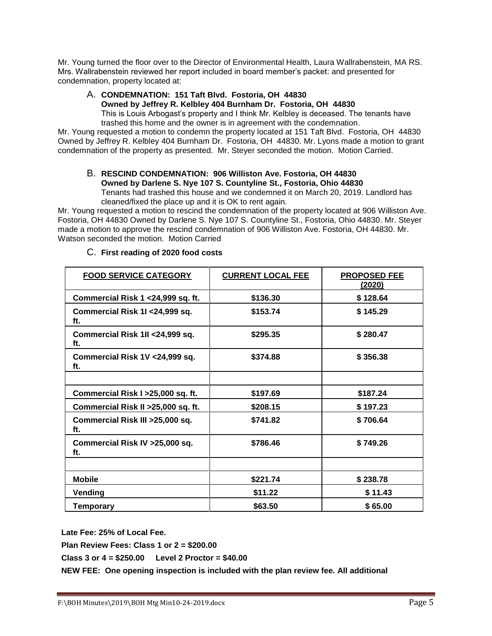Mr. Young turned the floor over to the Director of Environmental Health, Laura Wallrabenstein, MA RS. Mrs. Wallrabenstein reviewed her report included in board member's packet: and presented for condemnation, property located at:

# A. **CONDEMNATION: 151 Taft Blvd. Fostoria, OH 44830**

**Owned by Jeffrey R. Kelbley 404 Burnham Dr. Fostoria, OH 44830** This is Louis Arbogast's property and I think Mr. Kelbley is deceased. The tenants have trashed this home and the owner is in agreement with the condemnation.

Mr. Young requested a motion to condemn the property located at 151 Taft Blvd. Fostoria, OH 44830 Owned by Jeffrey R. Kelbley 404 Burnham Dr. Fostoria, OH 44830. Mr. Lyons made a motion to grant condemnation of the property as presented. Mr. Steyer seconded the motion. Motion Carried.

# B. **RESCIND CONDEMNATION: 906 Williston Ave. Fostoria, OH 44830 Owned by Darlene S. Nye 107 S. Countyline St., Fostoria, Ohio 44830** Tenants had trashed this house and we condemned it on March 20, 2019. Landlord has

cleaned/fixed the place up and it is OK to rent again. Mr. Young requested a motion to rescind the condemnation of the property located at 906 Williston Ave. Fostoria, OH 44830 Owned by Darlene S. Nye 107 S. Countyline St., Fostoria, Ohio 44830. Mr. Steyer made a motion to approve the rescind condemnation of 906 Williston Ave. Fostoria, OH 44830. Mr. Watson seconded the motion. Motion Carried

# **FOOD SERVICE CATEGORY CURRENT LOCAL FEE PROPOSED FEE (2020) Commercial Risk 1 <24,999 sq. ft. \$136.30 \$ 128.64 Commercial Risk 1I <24,999 sq. ft. \$153.74 \$ 145.29 Commercial Risk 1II <24,999 sq. ft. \$295.35 \$ 280.47 Commercial Risk 1V <24,999 sq. ft. \$374.88 \$ 356.38 Commercial Risk I >25,000 sq. ft. \$197.69 \$187.24 Commercial Risk II >25,000 sq. ft. \$208.15 \$ 197.23 Commercial Risk III >25,000 sq. ft. \$741.82 \$ 706.64 Commercial Risk IV >25,000 sq. ft. \$786.46 \$ 749.26 Mobile \$221.74 \$ 238.78 Vending \$11.22 \$ 11.43 Temporary \$63.50 \$ 65.00**

# C. **First reading of 2020 food costs**

**Late Fee: 25% of Local Fee.**

**Plan Review Fees: Class 1 or 2 = \$200.00**

**Class 3 or 4 = \$250.00 Level 2 Proctor = \$40.00**

**NEW FEE: One opening inspection is included with the plan review fee. All additional**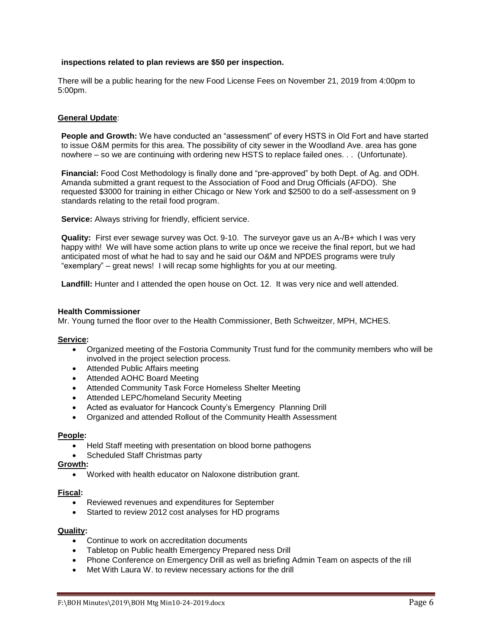### **inspections related to plan reviews are \$50 per inspection.**

There will be a public hearing for the new Food License Fees on November 21, 2019 from 4:00pm to 5:00pm.

### **General Update**:

**People and Growth:** We have conducted an "assessment" of every HSTS in Old Fort and have started to issue O&M permits for this area. The possibility of city sewer in the Woodland Ave. area has gone nowhere – so we are continuing with ordering new HSTS to replace failed ones. . . (Unfortunate).

**Financial:** Food Cost Methodology is finally done and "pre-approved" by both Dept. of Ag. and ODH. Amanda submitted a grant request to the Association of Food and Drug Officials (AFDO). She requested \$3000 for training in either Chicago or New York and \$2500 to do a self-assessment on 9 standards relating to the retail food program.

**Service:** Always striving for friendly, efficient service.

**Quality:** First ever sewage survey was Oct. 9-10. The surveyor gave us an A-/B+ which I was very happy with! We will have some action plans to write up once we receive the final report, but we had anticipated most of what he had to say and he said our O&M and NPDES programs were truly "exemplary" – great news! I will recap some highlights for you at our meeting.

**Landfill:** Hunter and I attended the open house on Oct. 12.It was very nice and well attended.

#### **Health Commissioner**

Mr. Young turned the floor over to the Health Commissioner, Beth Schweitzer, MPH, MCHES.

#### **Service:**

- Organized meeting of the Fostoria Community Trust fund for the community members who will be involved in the project selection process.
- Attended Public Affairs meeting
- Attended AOHC Board Meeting
- Attended Community Task Force Homeless Shelter Meeting
- Attended LEPC/homeland Security Meeting
- Acted as evaluator for Hancock County's Emergency Planning Drill
- Organized and attended Rollout of the Community Health Assessment

#### **People:**

- Held Staff meeting with presentation on blood borne pathogens
- Scheduled Staff Christmas party

#### **Growth:**

Worked with health educator on Naloxone distribution grant.

#### **Fiscal:**

- Reviewed revenues and expenditures for September
- Started to review 2012 cost analyses for HD programs

### **Quality:**

- Continue to work on accreditation documents
- Tabletop on Public health Emergency Prepared ness Drill
- Phone Conference on Emergency Drill as well as briefing Admin Team on aspects of the rill
- Met With Laura W. to review necessary actions for the drill